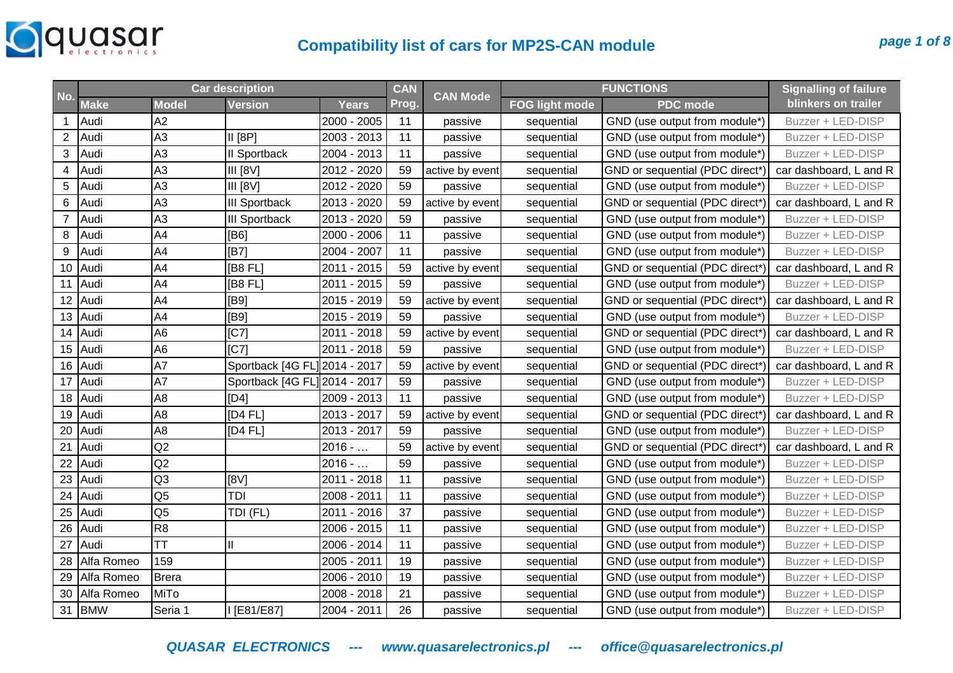

| No.            | <b>Car description</b> |                |                               |             |       | <b>CAN</b><br><b>CAN Mode</b> | <b>FUNCTIONS</b>      | <b>Signalling of failure</b>    |                        |
|----------------|------------------------|----------------|-------------------------------|-------------|-------|-------------------------------|-----------------------|---------------------------------|------------------------|
|                | <b>Make</b>            | <b>Model</b>   | <b>Version</b>                | Years       | Prog. |                               | <b>FOG light mode</b> | <b>PDC</b> mode                 | blinkers on trailer    |
|                | Audi                   | A2             |                               | 2000 - 2005 | 11    | passive                       | sequential            | GND (use output from module*)   | Buzzer + LED-DISP      |
| $\overline{2}$ | Audi                   | A <sub>3</sub> | II [8P]                       | 2003 - 2013 | 11    | passive                       | sequential            | GND (use output from module*)   | Buzzer + LED-DISP      |
| 3              | Audi                   | A <sub>3</sub> | <b>II Sportback</b>           | 2004 - 2013 | 11    | passive                       | sequential            | GND (use output from module*)   | Buzzer + LED-DISP      |
| 4              | Audi                   | A3             | <b>III</b> [8V]               | 2012 - 2020 | 59    | active by event               | sequential            | GND or sequential (PDC direct*) | car dashboard, L and R |
| 5              | Audi                   | A <sub>3</sub> | <b>III</b> [8V]               | 2012 - 2020 | 59    | passive                       | sequential            | GND (use output from module*)   | Buzzer + LED-DISP      |
| 6              | Audi                   | A <sub>3</sub> | <b>III Sportback</b>          | 2013 - 2020 | 59    | active by event               | sequential            | GND or sequential (PDC direct*) | car dashboard, L and R |
|                | Audi                   | A <sub>3</sub> | <b>III Sportback</b>          | 2013 - 2020 | 59    | passive                       | sequential            | GND (use output from module*)   | Buzzer + LED-DISP      |
| 8              | Audi                   | A4             | [B6]                          | 2000 - 2006 | 11    | passive                       | sequential            | GND (use output from module*)   | Buzzer + LED-DISP      |
| 9              | Audi                   | A4             | [ <b>B7</b> ]                 | 2004 - 2007 | 11    | passive                       | sequential            | GND (use output from module*)   | Buzzer + LED-DISP      |
| 10             | Audi                   | A4             | [B8 FL]                       | 2011 - 2015 | 59    | active by event               | sequential            | GND or sequential (PDC direct*) | car dashboard, L and R |
| 11             | Audi                   | A4             | [ <b>B8 FL</b> ]              | 2011 - 2015 | 59    | passive                       | sequential            | GND (use output from module*)   | Buzzer + LED-DISP      |
| 12             | Audi                   | A4             | [B9]                          | 2015 - 2019 | 59    | active by event               | sequential            | GND or sequential (PDC direct*) | car dashboard, L and R |
| 13             | Audi                   | A4             | [B9]                          | 2015 - 2019 | 59    | passive                       | sequential            | GND (use output from module*)   | Buzzer + LED-DISP      |
| 14             | Audi                   | A <sub>6</sub> | C7                            | 2011 - 2018 | 59    | active by event               | sequential            | GND or sequential (PDC direct*) | car dashboard, L and R |
| 15             | Audi                   | A <sub>6</sub> | C7                            | 2011 - 2018 | 59    | passive                       | sequential            | GND (use output from module*)   | Buzzer + LED-DISP      |
| 16             | Audi                   | A7             | Sportback [4G FL] 2014 - 2017 |             | 59    | active by event               | sequential            | GND or sequential (PDC direct*) | car dashboard, L and R |
| 17             | Audi                   | A7             | Sportback [4G FL] 2014 - 2017 |             | 59    | passive                       | sequential            | GND (use output from module*)   | Buzzer + LED-DISP      |
| 18             | Audi                   | A <sub>8</sub> | [D4]                          | 2009 - 2013 | 11    | passive                       | sequential            | GND (use output from module*)   | Buzzer + LED-DISP      |
| 19             | Audi                   | A <sub>8</sub> | $[D4$ FL $]$                  | 2013 - 2017 | 59    | active by event               | sequential            | GND or sequential (PDC direct*) | car dashboard, L and R |
| 20             | Audi                   | A <sub>8</sub> | [DA FL]                       | 2013 - 2017 | 59    | passive                       | sequential            | GND (use output from module*)   | Buzzer + LED-DISP      |
| 21             | Audi                   | Q2             |                               | $2016 - $   | 59    | active by event               | sequential            | GND or sequential (PDC direct*) | car dashboard, L and R |
| 22             | Audi                   | Q2             |                               | $2016 - $   | 59    | passive                       | sequential            | GND (use output from module*)   | Buzzer + LED-DISP      |
| 23             | Audi                   | Q3             | [8V]                          | 2011 - 2018 | 11    | passive                       | sequential            | GND (use output from module*)   | Buzzer + LED-DISP      |
| 24             | Audi                   | Q <sub>5</sub> | <b>TDI</b>                    | 2008 - 2011 | 11    | passive                       | sequential            | GND (use output from module*)   | Buzzer + LED-DISP      |
| 25             | Audi                   | Q <sub>5</sub> | TDI (FL)                      | 2011 - 2016 | 37    | passive                       | sequential            | GND (use output from module*)   | Buzzer + LED-DISP      |
| 26             | Audi                   | R <sub>8</sub> |                               | 2006 - 2015 | 11    | passive                       | sequential            | GND (use output from module*)   | Buzzer + LED-DISP      |
| 27             | Audi                   | <b>TT</b>      | Ш                             | 2006 - 2014 | 11    | passive                       | sequential            | GND (use output from module*)   | Buzzer + LED-DISP      |
| 28             | Alfa Romeo             | 159            |                               | 2005 - 2011 | 19    | passive                       | sequential            | GND (use output from module*)   | Buzzer + LED-DISP      |
| 29             | Alfa Romeo             | <b>Brera</b>   |                               | 2006 - 2010 | 19    | passive                       | sequential            | GND (use output from module*)   | Buzzer + LED-DISP      |
| 30             | Alfa Romeo             | MiTo           |                               | 2008 - 2018 | 21    | passive                       | sequential            | GND (use output from module*)   | Buzzer + LED-DISP      |
| 31             | <b>BMW</b>             | Seria 1        | I [E81/E87]                   | 2004 - 2011 | 26    | passive                       | sequential            | GND (use output from module*)   | Buzzer + LED-DISP      |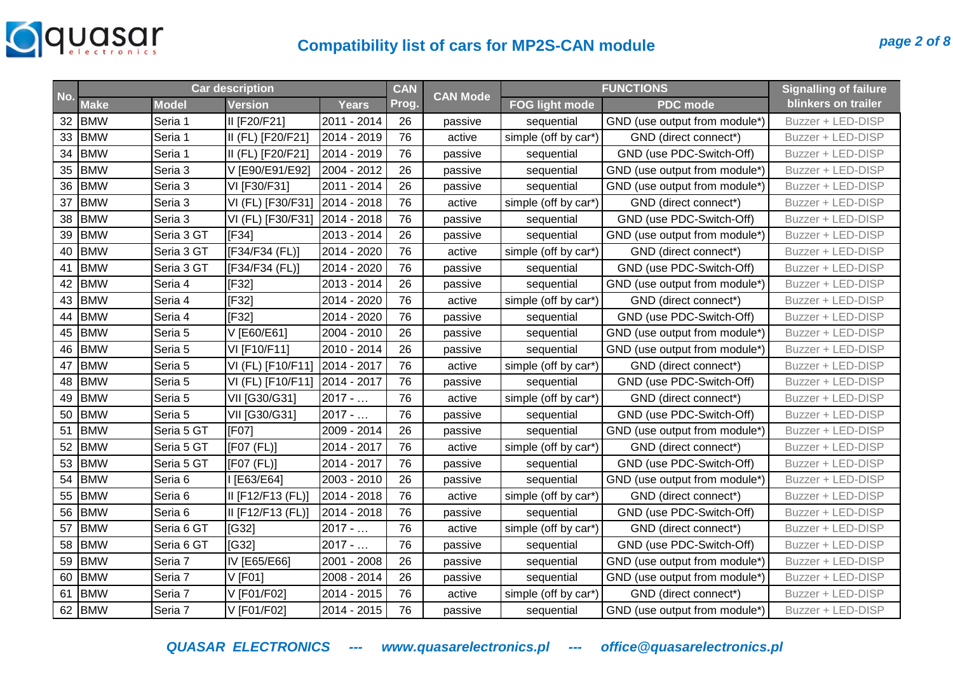

| No. | <b>Car description</b> |              |                   |              |       | <b>CAN</b><br><b>CAN Mode</b> | <b>FUNCTIONS</b>      | <b>Signalling of failure</b>  |                     |
|-----|------------------------|--------------|-------------------|--------------|-------|-------------------------------|-----------------------|-------------------------------|---------------------|
|     | <b>Make</b>            | <b>Model</b> | Version           | <b>Years</b> | Prog. |                               | <b>FOG light mode</b> | <b>PDC</b> mode               | blinkers on trailer |
| 32  | BMW                    | Seria 1      | II [F20/F21]      | 2011 - 2014  | 26    | passive                       | sequential            | GND (use output from module*) | Buzzer + LED-DISP   |
| 33  | <b>BMW</b>             | Seria 1      | II (FL) [F20/F21] | 2014 - 2019  | 76    | active                        | simple (off by car*)  | GND (direct connect*)         | Buzzer + LED-DISP   |
| 34  | <b>BMW</b>             | Seria 1      | II (FL) [F20/F21] | 2014 - 2019  | 76    | passive                       | sequential            | GND (use PDC-Switch-Off)      | Buzzer + LED-DISP   |
| 35  | <b>BMW</b>             | Seria 3      | V [E90/E91/E92]   | 2004 - 2012  | 26    | passive                       | sequential            | GND (use output from module*) | Buzzer + LED-DISP   |
| 36  | <b>BMW</b>             | Seria 3      | VI [F30/F31]      | 2011 - 2014  | 26    | passive                       | sequential            | GND (use output from module*) | Buzzer + LED-DISP   |
| 37  | <b>BMW</b>             | Seria 3      | VI (FL) [F30/F31] | 2014 - 2018  | 76    | active                        | simple (off by car*)  | GND (direct connect*)         | Buzzer + LED-DISP   |
| 38  | <b>BMW</b>             | Seria 3      | VI (FL) [F30/F31] | 2014 - 2018  | 76    | passive                       | sequential            | GND (use PDC-Switch-Off)      | Buzzer + LED-DISP   |
| 39  | <b>BMW</b>             | Seria 3 GT   | [F34]             | 2013 - 2014  | 26    | passive                       | sequential            | GND (use output from module*) | Buzzer + LED-DISP   |
| 40  | <b>BMW</b>             | Seria 3 GT   | [F34/F34 (FL)]    | 2014 - 2020  | 76    | active                        | simple (off by car*)  | GND (direct connect*)         | Buzzer + LED-DISP   |
| 41  | <b>BMW</b>             | Seria 3 GT   | [F34/F34 (FL)]    | 2014 - 2020  | 76    | passive                       | sequential            | GND (use PDC-Switch-Off)      | Buzzer + LED-DISP   |
| 42  | <b>BMW</b>             | Seria 4      | [F32]             | 2013 - 2014  | 26    | passive                       | sequential            | GND (use output from module*) | Buzzer + LED-DISP   |
| 43  | <b>BMW</b>             | Seria 4      | [F32]             | 2014 - 2020  | 76    | active                        | simple (off by car*)  | GND (direct connect*)         | Buzzer + LED-DISP   |
| 44  | <b>BMW</b>             | Seria 4      | [F32]             | 2014 - 2020  | 76    | passive                       | sequential            | GND (use PDC-Switch-Off)      | Buzzer + LED-DISP   |
| 45  | <b>BMW</b>             | Seria 5      | V [E60/E61]       | 2004 - 2010  | 26    | passive                       | sequential            | GND (use output from module*) | Buzzer + LED-DISP   |
| 46  | <b>BMW</b>             | Seria 5      | VI [F10/F11]      | 2010 - 2014  | 26    | passive                       | sequential            | GND (use output from module*) | Buzzer + LED-DISP   |
| 47  | <b>BMW</b>             | Seria 5      | VI (FL) [F10/F11] | 2014 - 2017  | 76    | active                        | simple (off by car*)  | GND (direct connect*)         | Buzzer + LED-DISP   |
| 48  | <b>BMW</b>             | Seria 5      | VI (FL) [F10/F11] | 2014 - 2017  | 76    | passive                       | sequential            | GND (use PDC-Switch-Off)      | Buzzer + LED-DISP   |
| 49  | <b>BMW</b>             | Seria 5      | VII [G30/G31]     | $2017 - $    | 76    | active                        | simple (off by car*)  | GND (direct connect*)         | Buzzer + LED-DISP   |
| 50  | <b>BMW</b>             | Seria 5      | VII [G30/G31]     | $2017 - $    | 76    | passive                       | sequential            | GND (use PDC-Switch-Off)      | Buzzer + LED-DISP   |
| 51  | <b>BMW</b>             | Seria 5 GT   | [F07]             | 2009 - 2014  | 26    | passive                       | sequential            | GND (use output from module*) | Buzzer + LED-DISP   |
| 52  | <b>BMW</b>             | Seria 5 GT   | [FO7 (FL)]        | 2014 - 2017  | 76    | active                        | simple (off by car*)  | GND (direct connect*)         | Buzzer + LED-DISP   |
| 53  | <b>BMW</b>             | Seria 5 GT   | [FO7 (FL)]        | 2014 - 2017  | 76    | passive                       | sequential            | GND (use PDC-Switch-Off)      | Buzzer + LED-DISP   |
| 54  | <b>BMW</b>             | Seria 6      | I [E63/E64]       | 2003 - 2010  | 26    | passive                       | sequential            | GND (use output from module*) | Buzzer + LED-DISP   |
| 55  | <b>BMW</b>             | Seria 6      | II [F12/F13 (FL)] | 2014 - 2018  | 76    | active                        | simple (off by car*)  | GND (direct connect*)         | Buzzer + LED-DISP   |
| 56  | <b>BMW</b>             | Seria 6      | II [F12/F13 (FL)] | 2014 - 2018  | 76    | passive                       | sequential            | GND (use PDC-Switch-Off)      | Buzzer + LED-DISP   |
| 57  | <b>BMW</b>             | Seria 6 GT   | [G32]             | $2017 - $    | 76    | active                        | simple (off by car*)  | GND (direct connect*)         | Buzzer + LED-DISP   |
| 58  | <b>BMW</b>             | Seria 6 GT   | [G32]             | $2017 - $    | 76    | passive                       | sequential            | GND (use PDC-Switch-Off)      | Buzzer + LED-DISP   |
| 59  | <b>BMW</b>             | Seria 7      | IV [E65/E66]      | 2001 - 2008  | 26    | passive                       | sequential            | GND (use output from module*) | Buzzer + LED-DISP   |
| 60  | <b>BMW</b>             | Seria 7      | $V$ [F01]         | 2008 - 2014  | 26    | passive                       | sequential            | GND (use output from module*) | Buzzer + LED-DISP   |
| 61  | <b>BMW</b>             | Seria 7      | V [F01/F02]       | 2014 - 2015  | 76    | active                        | simple (off by car*)  | GND (direct connect*)         | Buzzer + LED-DISP   |
|     | 62 BMW                 | Seria 7      | V [F01/F02]       | 2014 - 2015  | 76    | passive                       | sequential            | GND (use output from module*) | Buzzer + LED-DISP   |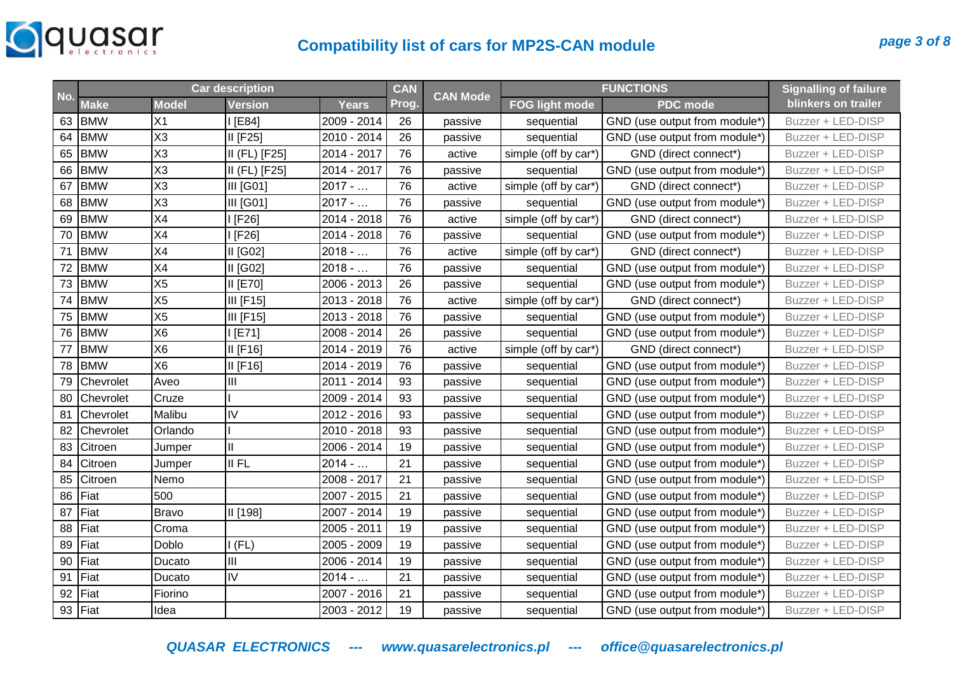

| No. | <b>Car description</b> |                |                 |             |       | <b>CAN Mode</b> | <b>FUNCTIONS</b>      | <b>Signalling of failure</b>  |                     |
|-----|------------------------|----------------|-----------------|-------------|-------|-----------------|-----------------------|-------------------------------|---------------------|
|     | <b>Make</b>            | <b>Model</b>   | <b>Version</b>  | Years       | Prog. |                 | <b>FOG light mode</b> | <b>PDC mode</b>               | blinkers on trailer |
|     | 63 BMW                 | X <sub>1</sub> | [E84]           | 2009 - 2014 | 26    | passive         | sequential            | GND (use output from module*) | Buzzer + LED-DISP   |
|     | 64 BMW                 | X <sub>3</sub> | $II$ [F25]      | 2010 - 2014 | 26    | passive         | sequential            | GND (use output from module*) | Buzzer + LED-DISP   |
| 65  | <b>BMW</b>             | X3             | II (FL) [F25]   | 2014 - 2017 | 76    | active          | simple (off by car*)  | GND (direct connect*)         | Buzzer + LED-DISP   |
| 66  | <b>BMW</b>             | X <sub>3</sub> | $II$ (FL) [F25] | 2014 - 2017 | 76    | passive         | sequential            | GND (use output from module*) | Buzzer + LED-DISP   |
|     | 67 BMW                 | X3             | III [G01]       | $2017 - $   | 76    | active          | simple (off by car*)  | GND (direct connect*)         | Buzzer + LED-DISP   |
|     | 68 BMW                 | X <sub>3</sub> | III [G01]       | $2017 - $   | 76    | passive         | sequential            | GND (use output from module*) | Buzzer + LED-DISP   |
| 69  | <b>BMW</b>             | X4             | $ $ [F26]       | 2014 - 2018 | 76    | active          | simple (off by car*)  | GND (direct connect*)         | Buzzer + LED-DISP   |
| 70  | <b>BMW</b>             | X <sub>4</sub> | $ $ [F26]       | 2014 - 2018 | 76    | passive         | sequential            | GND (use output from module*) | Buzzer + LED-DISP   |
| 71  | <b>BMW</b>             | X4             | II [G02]        | $2018 - $   | 76    | active          | simple (off by car*)  | GND (direct connect*)         | Buzzer + LED-DISP   |
|     | 72 BMW                 | X <sub>4</sub> | II [G02]        | $2018 - $   | 76    | passive         | sequential            | GND (use output from module*) | Buzzer + LED-DISP   |
| 73  | <b>BMW</b>             | X <sub>5</sub> | $II$ [E70]      | 2006 - 2013 | 26    | passive         | sequential            | GND (use output from module*) | Buzzer + LED-DISP   |
| 74  | <b>BMW</b>             | X <sub>5</sub> | $III$ [F15]     | 2013 - 2018 | 76    | active          | simple (off by car*)  | GND (direct connect*)         | Buzzer + LED-DISP   |
|     | 75 BMW                 | X <sub>5</sub> | $III$ [F15]     | 2013 - 2018 | 76    | passive         | sequential            | GND (use output from module*) | Buzzer + LED-DISP   |
| 76  | <b>BMW</b>             | X <sub>6</sub> | [E71]           | 2008 - 2014 | 26    | passive         | sequential            | GND (use output from module*) | Buzzer + LED-DISP   |
| 77  | <b>BMW</b>             | X <sub>6</sub> | $II$ [F16]      | 2014 - 2019 | 76    | active          | simple (off by car*)  | GND (direct connect*)         | Buzzer + LED-DISP   |
|     | 78 BMW                 | X <sub>6</sub> | $II$ [F16]      | 2014 - 2019 | 76    | passive         | sequential            | GND (use output from module*) | Buzzer + LED-DISP   |
| 79  | Chevrolet              | Aveo           | III             | 2011 - 2014 | 93    | passive         | sequential            | GND (use output from module*) | Buzzer + LED-DISP   |
| 80  | Chevrolet              | Cruze          |                 | 2009 - 2014 | 93    | passive         | sequential            | GND (use output from module*) | Buzzer + LED-DISP   |
| 81  | Chevrolet              | Malibu         | IV.             | 2012 - 2016 | 93    | passive         | sequential            | GND (use output from module*) | Buzzer + LED-DISP   |
| 82  | Chevrolet              | Orlando        |                 | 2010 - 2018 | 93    | passive         | sequential            | GND (use output from module*) | Buzzer + LED-DISP   |
| 83  | Citroen                | Jumper         |                 | 2006 - 2014 | 19    | passive         | sequential            | GND (use output from module*) | Buzzer + LED-DISP   |
| 84  | Citroen                | Jumper         | II FL           | $2014 -$    | 21    | passive         | sequential            | GND (use output from module*) | Buzzer + LED-DISP   |
| 85  | Citroen                | Nemo           |                 | 2008 - 2017 | 21    | passive         | sequential            | GND (use output from module*) | Buzzer + LED-DISP   |
| 86  | Fiat                   | 500            |                 | 2007 - 2015 | 21    | passive         | sequential            | GND (use output from module*) | Buzzer + LED-DISP   |
| 87  | Fiat                   | <b>Bravo</b>   | II [198]        | 2007 - 2014 | 19    | passive         | sequential            | GND (use output from module*) | Buzzer + LED-DISP   |
| 88  | Fiat                   | Croma          |                 | 2005 - 2011 | 19    | passive         | sequential            | GND (use output from module*) | Buzzer + LED-DISP   |
| 89  | Fiat                   | Doblo          | $I$ (FL)        | 2005 - 2009 | 19    | passive         | sequential            | GND (use output from module*) | Buzzer + LED-DISP   |
| 90  | Fiat                   | Ducato         | III             | 2006 - 2014 | 19    | passive         | sequential            | GND (use output from module*) | Buzzer + LED-DISP   |
| 91  | Fiat                   | Ducato         | IV              | $2014 - $   | 21    | passive         | sequential            | GND (use output from module*) | Buzzer + LED-DISP   |
| 92  | Fiat                   | Fiorino        |                 | 2007 - 2016 | 21    | passive         | sequential            | GND (use output from module*) | Buzzer + LED-DISP   |
|     | 93 Fiat                | Idea           |                 | 2003 - 2012 | 19    | passive         | sequential            | GND (use output from module*) | Buzzer + LED-DISP   |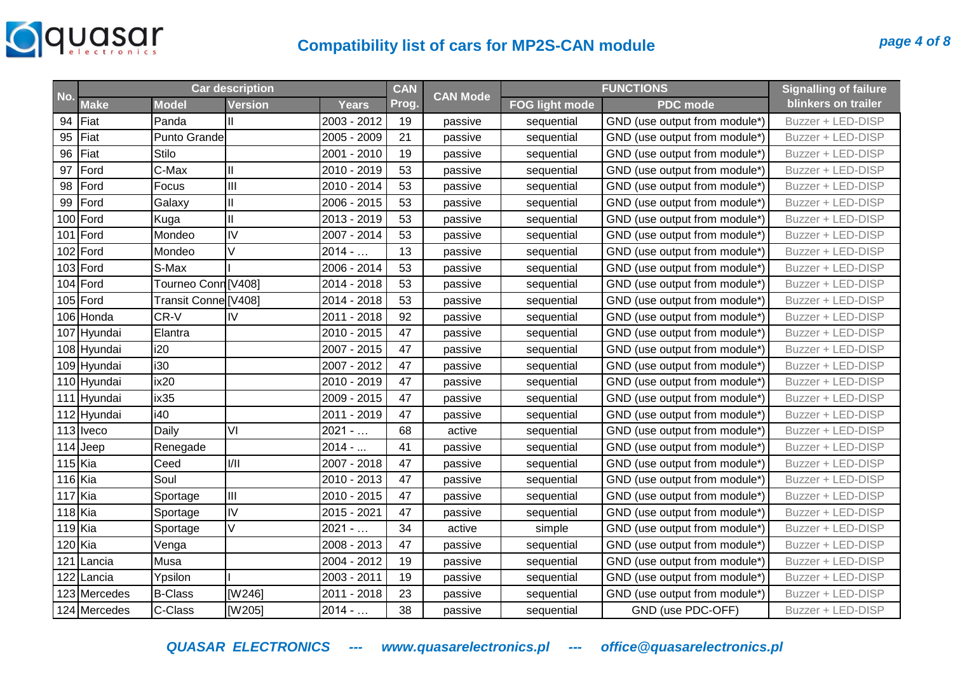

| No.     | <b>Car description</b> |                                 |                |             |       | <b>CAN Mode</b> | <b>FUNCTIONS</b>      | <b>Signalling of failure</b>  |                     |
|---------|------------------------|---------------------------------|----------------|-------------|-------|-----------------|-----------------------|-------------------------------|---------------------|
|         | <b>Make</b>            | <b>Model</b>                    | <b>Version</b> | Years       | Prog. |                 | <b>FOG light mode</b> | <b>PDC mode</b>               | blinkers on trailer |
| 94      | Fiat                   | Panda                           |                | 2003 - 2012 | 19    | passive         | sequential            | GND (use output from module*) | Buzzer + LED-DISP   |
| 95      | Fiat                   | Punto Grande                    |                | 2005 - 2009 | 21    | passive         | sequential            | GND (use output from module*) | Buzzer + LED-DISP   |
| 96      | Fiat                   | Stilo                           |                | 2001 - 2010 | 19    | passive         | sequential            | GND (use output from module*) | Buzzer + LED-DISP   |
| 97      | Ford                   | C-Max                           |                | 2010 - 2019 | 53    | passive         | sequential            | GND (use output from module*) | Buzzer + LED-DISP   |
| 98      | Ford                   | Focus                           | III            | 2010 - 2014 | 53    | passive         | sequential            | GND (use output from module*) | Buzzer + LED-DISP   |
|         | 99 Ford                | Galaxy                          | $\mathbf{II}$  | 2006 - 2015 | 53    | passive         | sequential            | GND (use output from module*) | Buzzer + LED-DISP   |
|         | 100 Ford               | Kuga                            | $\mathbf{II}$  | 2013 - 2019 | 53    | passive         | sequential            | GND (use output from module*) | Buzzer + LED-DISP   |
|         | $101$ Ford             | Mondeo                          | IV             | 2007 - 2014 | 53    | passive         | sequential            | GND (use output from module*) | Buzzer + LED-DISP   |
|         | $102$ Ford             | Mondeo                          | V              | $2014 - $   | 13    | passive         | sequential            | GND (use output from module*) | Buzzer + LED-DISP   |
|         | $103$ Ford             | S-Max                           |                | 2006 - 2014 | 53    | passive         | sequential            | GND (use output from module*) | Buzzer + LED-DISP   |
|         | $104$ Ford             | Tourneo Conn [V408]             |                | 2014 - 2018 | 53    | passive         | sequential            | GND (use output from module*) | Buzzer + LED-DISP   |
|         | $105$ Ford             | Transit Conne <sup>[V408]</sup> |                | 2014 - 2018 | 53    | passive         | sequential            | GND (use output from module*) | Buzzer + LED-DISP   |
|         | 106 Honda              | CR-V                            | IV             | 2011 - 2018 | 92    | passive         | sequential            | GND (use output from module*) | Buzzer + LED-DISP   |
|         | 107 Hyundai            | Elantra                         |                | 2010 - 2015 | 47    | passive         | sequential            | GND (use output from module*) | Buzzer + LED-DISP   |
|         | 108 Hyundai            | i20                             |                | 2007 - 2015 | 47    | passive         | sequential            | GND (use output from module*) | Buzzer + LED-DISP   |
|         | 109 Hyundai            | i30                             |                | 2007 - 2012 | 47    | passive         | sequential            | GND (use output from module*) | Buzzer + LED-DISP   |
|         | 110 Hyundai            | ix20                            |                | 2010 - 2019 | 47    | passive         | sequential            | GND (use output from module*) | Buzzer + LED-DISP   |
|         | 111 Hyundai            | ix35                            |                | 2009 - 2015 | 47    | passive         | sequential            | GND (use output from module*) | Buzzer + LED-DISP   |
|         | 112 Hyundai            | i40                             |                | 2011 - 2019 | 47    | passive         | sequential            | GND (use output from module*) | Buzzer + LED-DISP   |
|         | 113 Iveco              | Daily                           | ΙVΙ            | $2021 - $   | 68    | active          | sequential            | GND (use output from module*) | Buzzer + LED-DISP   |
|         | $114$ Jeep             | Renegade                        |                | $2014 - $   | 41    | passive         | sequential            | GND (use output from module*) | Buzzer + LED-DISP   |
| 115 Kia |                        | Ceed                            | 1/11           | 2007 - 2018 | 47    | passive         | sequential            | GND (use output from module*) | Buzzer + LED-DISP   |
| 116 Kia |                        | Soul                            |                | 2010 - 2013 | 47    | passive         | sequential            | GND (use output from module*) | Buzzer + LED-DISP   |
| 117 Kia |                        | Sportage                        | III            | 2010 - 2015 | 47    | passive         | sequential            | GND (use output from module*) | Buzzer + LED-DISP   |
| 118 Kia |                        | Sportage                        | IV             | 2015 - 2021 | 47    | passive         | sequential            | GND (use output from module*) | Buzzer + LED-DISP   |
| 119 Kia |                        | Sportage                        | V              | $2021 - $   | 34    | active          | simple                | GND (use output from module*) | Buzzer + LED-DISP   |
| 120 Kia |                        | Venga                           |                | 2008 - 2013 | 47    | passive         | sequential            | GND (use output from module*) | Buzzer + LED-DISP   |
|         | 121 Lancia             | Musa                            |                | 2004 - 2012 | 19    | passive         | sequential            | GND (use output from module*) | Buzzer + LED-DISP   |
|         | 122 Lancia             | Ypsilon                         |                | 2003 - 2011 | 19    | passive         | sequential            | GND (use output from module*) | Buzzer + LED-DISP   |
|         | 123 Mercedes           | <b>B-Class</b>                  | [W246]         | 2011 - 2018 | 23    | passive         | sequential            | GND (use output from module*) | Buzzer + LED-DISP   |
|         | 124 Mercedes           | C-Class                         | [W205]         | $2014 - $   | 38    | passive         | sequential            | GND (use PDC-OFF)             | Buzzer + LED-DISP   |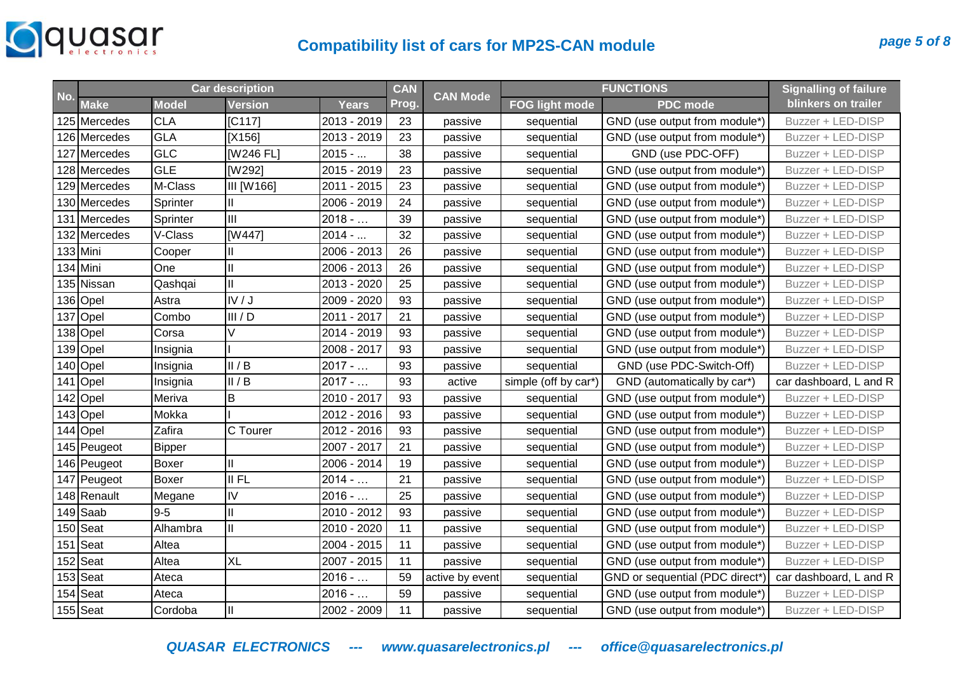

| No. | <b>Car description</b> |               |                |             |       | <b>CAN</b><br><b>CAN Mode</b> | <b>FUNCTIONS</b>      | <b>Signalling of failure</b>    |                        |
|-----|------------------------|---------------|----------------|-------------|-------|-------------------------------|-----------------------|---------------------------------|------------------------|
|     | <b>Make</b>            | <b>Model</b>  | <b>Version</b> | Years       | Prog. |                               | <b>FOG light mode</b> | <b>PDC</b> mode                 | blinkers on trailer    |
|     | 125 Mercedes           | <b>CLA</b>    | [C117]         | 2013 - 2019 | 23    | passive                       | sequential            | GND (use output from module*)   | Buzzer + LED-DISP      |
|     | 126 Mercedes           | <b>GLA</b>    | $[X156]$       | 2013 - 2019 | 23    | passive                       | sequential            | GND (use output from module*)   | Buzzer + LED-DISP      |
|     | 127 Mercedes           | <b>GLC</b>    | [W246 FL]      | $2015 - $   | 38    | passive                       | sequential            | GND (use PDC-OFF)               | Buzzer + LED-DISP      |
|     | 128 Mercedes           | <b>GLE</b>    | [W292]         | 2015 - 2019 | 23    | passive                       | sequential            | GND (use output from module*)   | Buzzer + LED-DISP      |
|     | 129 Mercedes           | M-Class       | III [W166]     | 2011 - 2015 | 23    | passive                       | sequential            | GND (use output from module*)   | Buzzer + LED-DISP      |
|     | 130 Mercedes           | Sprinter      | Ш              | 2006 - 2019 | 24    | passive                       | sequential            | GND (use output from module*)   | Buzzer + LED-DISP      |
|     | 131 Mercedes           | Sprinter      | lıı            | $2018 - $   | 39    | passive                       | sequential            | GND (use output from module*)   | Buzzer + LED-DISP      |
|     | 132 Mercedes           | V-Class       | [W447]         | $2014 - $   | 32    | passive                       | sequential            | GND (use output from module*)   | Buzzer + LED-DISP      |
|     | 133 Mini               | Cooper        | $\mathbf{II}$  | 2006 - 2013 | 26    | passive                       | sequential            | GND (use output from module*)   | Buzzer + LED-DISP      |
|     | 134 Mini               | One           | Ш              | 2006 - 2013 | 26    | passive                       | sequential            | GND (use output from module*)   | Buzzer + LED-DISP      |
|     | 135 Nissan             | Qashqai       | Ш              | 2013 - 2020 | 25    | passive                       | sequential            | GND (use output from module*)   | Buzzer + LED-DISP      |
|     | 136 Opel               | Astra         | IV/J           | 2009 - 2020 | 93    | passive                       | sequential            | GND (use output from module*)   | Buzzer + LED-DISP      |
|     | $137$ Opel             | Combo         | III/D          | 2011 - 2017 | 21    | passive                       | sequential            | GND (use output from module*)   | Buzzer + LED-DISP      |
|     | $138$ Opel             | Corsa         | V              | 2014 - 2019 | 93    | passive                       | sequential            | GND (use output from module*)   | Buzzer + LED-DISP      |
|     | $139$ Opel             | Insignia      |                | 2008 - 2017 | 93    | passive                       | sequential            | GND (use output from module*)   | Buzzer + LED-DISP      |
|     | 140 Opel               | Insignia      | II/B           | $2017 - $   | 93    | passive                       | sequential            | GND (use PDC-Switch-Off)        | Buzzer + LED-DISP      |
|     | 141 Opel               | Insignia      | II/B           | $2017 - $   | 93    | active                        | simple (off by car*)  | GND (automatically by car*)     | car dashboard, L and R |
|     | $142$ Opel             | Meriva        | B              | 2010 - 2017 | 93    | passive                       | sequential            | GND (use output from module*)   | Buzzer + LED-DISP      |
|     | $143$ Opel             | Mokka         |                | 2012 - 2016 | 93    | passive                       | sequential            | GND (use output from module*)   | Buzzer + LED-DISP      |
|     | $144$ Opel             | Zafira        | C Tourer       | 2012 - 2016 | 93    | passive                       | sequential            | GND (use output from module*)   | Buzzer + LED-DISP      |
|     | 145 Peugeot            | <b>Bipper</b> |                | 2007 - 2017 | 21    | passive                       | sequential            | GND (use output from module*)   | Buzzer + LED-DISP      |
|     | 146 Peugeot            | Boxer         | Ш              | 2006 - 2014 | 19    | passive                       | sequential            | GND (use output from module*)   | Buzzer + LED-DISP      |
|     | 147 Peugeot            | <b>Boxer</b>  | III FL         | $2014 - $   | 21    | passive                       | sequential            | GND (use output from module*)   | Buzzer + LED-DISP      |
|     | 148 Renault            | Megane        | IV             | $2016 - $   | 25    | passive                       | sequential            | GND (use output from module*)   | Buzzer + LED-DISP      |
|     | $149$ Saab             | $9-5$         | II             | 2010 - 2012 | 93    | passive                       | sequential            | GND (use output from module*)   | Buzzer + LED-DISP      |
|     | $150$ Seat             | Alhambra      | Ш              | 2010 - 2020 | 11    | passive                       | sequential            | GND (use output from module*)   | Buzzer + LED-DISP      |
|     | $151$ Seat             | Altea         |                | 2004 - 2015 | 11    | passive                       | sequential            | GND (use output from module*)   | Buzzer + LED-DISP      |
|     | $152$ Seat             | Altea         | <b>XL</b>      | 2007 - 2015 | 11    | passive                       | sequential            | GND (use output from module*)   | Buzzer + LED-DISP      |
|     | $153$ Seat             | Ateca         |                | $2016 - $   | 59    | active by event               | sequential            | GND or sequential (PDC direct*) | car dashboard, L and R |
|     | 154 Seat               | Ateca         |                | $2016 - $   | 59    | passive                       | sequential            | GND (use output from module*)   | Buzzer + LED-DISP      |
|     | $155$ Seat             | Cordoba       | IШ             | 2002 - 2009 | 11    | passive                       | sequential            | GND (use output from module*)   | Buzzer + LED-DISP      |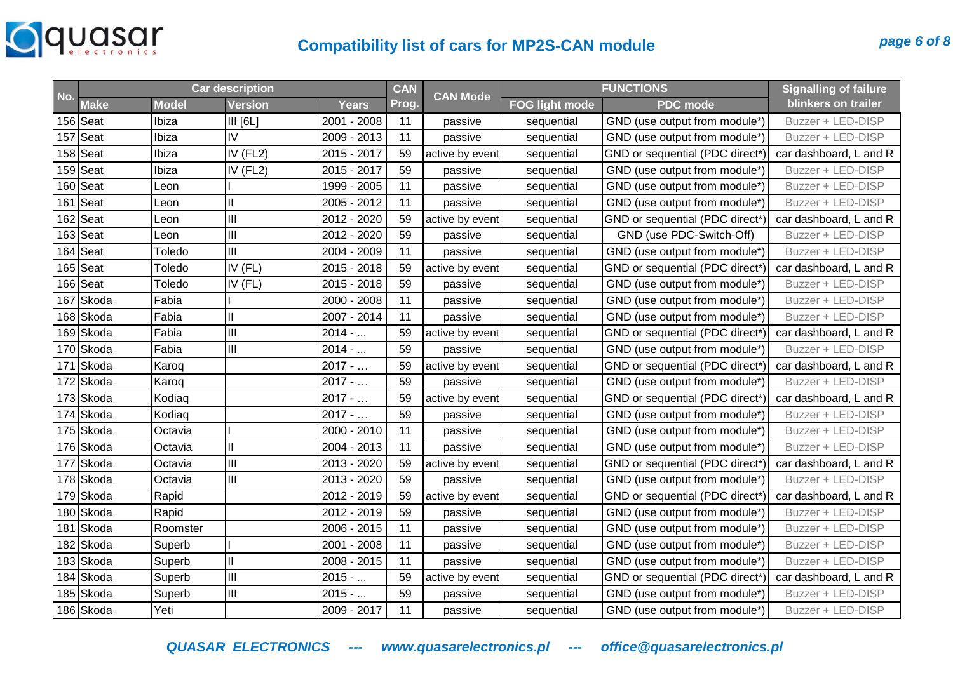

| No. | <b>Car description</b> |              |                          |              |       | <b>CAN</b><br><b>CAN Mode</b> | <b>FUNCTIONS</b>      | <b>Signalling of failure</b>    |                        |
|-----|------------------------|--------------|--------------------------|--------------|-------|-------------------------------|-----------------------|---------------------------------|------------------------|
|     | <b>Make</b>            | <b>Model</b> | <b>Version</b>           | <b>Years</b> | Prog. |                               | <b>FOG light mode</b> | <b>PDC</b> mode                 | blinkers on trailer    |
|     | $156$ Seat             | Ibiza        | III [6L]                 | 2001 - 2008  | 11    | passive                       | sequential            | GND (use output from module*)   | Buzzer + LED-DISP      |
|     | $157$ Seat             | Ibiza        | IV.                      | 2009 - 2013  | 11    | passive                       | sequential            | GND (use output from module*)   | Buzzer + LED-DISP      |
|     | $158$ Seat             | Ibiza        | IV (FL2)                 | 2015 - 2017  | 59    | active by event               | sequential            | GND or sequential (PDC direct*) | car dashboard, L and R |
|     | $159$ Seat             | Ibiza        | IV (FL2)                 | 2015 - 2017  | 59    | passive                       | sequential            | GND (use output from module*)   | Buzzer + LED-DISP      |
|     | 160 Seat               | Leon         |                          | 1999 - 2005  | 11    | passive                       | sequential            | GND (use output from module*)   | Buzzer + LED-DISP      |
|     | 161 $S$ eat            | Leon         | Ш                        | 2005 - 2012  | 11    | passive                       | sequential            | GND (use output from module*)   | Buzzer + LED-DISP      |
|     | $162$ Seat             | Leon         | $\overline{\mathbf{  }}$ | 2012 - 2020  | 59    | active by event               | sequential            | GND or sequential (PDC direct*) | car dashboard, L and R |
|     | $163$ Seat             | Leon         | $\mathbf{III}$           | 2012 - 2020  | 59    | passive                       | sequential            | GND (use PDC-Switch-Off)        | Buzzer + LED-DISP      |
|     | $164$ Seat             | Toledo       | Ш                        | 2004 - 2009  | 11    | passive                       | sequential            | GND (use output from module*)   | Buzzer + LED-DISP      |
|     | $165$ Seat             | Toledo       | IV (FL)                  | 2015 - 2018  | 59    | active by event               | sequential            | GND or sequential (PDC direct*) | car dashboard, L and R |
|     | 166 Seat               | Toledo       | IV (FL)                  | 2015 - 2018  | 59    | passive                       | sequential            | GND (use output from module*)   | Buzzer + LED-DISP      |
|     | 167 Skoda              | Fabia        |                          | 2000 - 2008  | 11    | passive                       | sequential            | GND (use output from module*)   | Buzzer + LED-DISP      |
|     | 168 Skoda              | Fabia        | Ш                        | 2007 - 2014  | 11    | passive                       | sequential            | GND (use output from module*)   | Buzzer + LED-DISP      |
|     | 169 Skoda              | Fabia        | $\overline{\mathbf{  }}$ | $2014 - $    | 59    | active by event               | sequential            | GND or sequential (PDC direct*) | car dashboard, L and R |
|     | 170 Skoda              | Fabia        | III                      | $2014 - $    | 59    | passive                       | sequential            | GND (use output from module*)   | Buzzer + LED-DISP      |
|     | 171 Skoda              | Karoq        |                          | $2017 - $    | 59    | active by event               | sequential            | GND or sequential (PDC direct*) | car dashboard, L and R |
|     | 172 Skoda              | Karoq        |                          | $2017 - $    | 59    | passive                       | sequential            | GND (use output from module*)   | Buzzer + LED-DISP      |
|     | 173 Skoda              | Kodiaq       |                          | $2017 - $    | 59    | active by event               | sequential            | GND or sequential (PDC direct*) | car dashboard, L and R |
|     | 174 Skoda              | Kodiag       |                          | $2017 - $    | 59    | passive                       | sequential            | GND (use output from module*)   | Buzzer + LED-DISP      |
|     | 175 Skoda              | Octavia      |                          | 2000 - 2010  | 11    | passive                       | sequential            | GND (use output from module*)   | Buzzer + LED-DISP      |
|     | 176 Skoda              | Octavia      | н                        | 2004 - 2013  | 11    | passive                       | sequential            | GND (use output from module*)   | Buzzer + LED-DISP      |
|     | 177 Skoda              | Octavia      | Ш                        | 2013 - 2020  | 59    | active by event               | sequential            | GND or sequential (PDC direct*) | car dashboard, L and R |
|     | 178 Skoda              | Octavia      | III                      | 2013 - 2020  | 59    | passive                       | sequential            | GND (use output from module*)   | Buzzer + LED-DISP      |
|     | 179 Skoda              | Rapid        |                          | 2012 - 2019  | 59    | active by event               | sequential            | GND or sequential (PDC direct*) | car dashboard, L and R |
|     | 180 Skoda              | Rapid        |                          | 2012 - 2019  | 59    | passive                       | sequential            | GND (use output from module*)   | Buzzer + LED-DISP      |
|     | 181 Skoda              | Roomster     |                          | 2006 - 2015  | 11    | passive                       | sequential            | GND (use output from module*)   | Buzzer + LED-DISP      |
|     | 182 Skoda              | Superb       |                          | 2001 - 2008  | 11    | passive                       | sequential            | GND (use output from module*)   | Buzzer + LED-DISP      |
|     | 183 Skoda              | Superb       | Ш                        | 2008 - 2015  | 11    | passive                       | sequential            | GND (use output from module*)   | Buzzer + LED-DISP      |
|     | 184 Skoda              | Superb       | III                      | $2015 - $    | 59    | active by event               | sequential            | GND or sequential (PDC direct*) | car dashboard, L and R |
|     | 185 Skoda              | Superb       | $\mathbf{III}$           | 2015 -       | 59    | passive                       | sequential            | GND (use output from module*)   | Buzzer + LED-DISP      |
|     | 186 Skoda              | Yeti         |                          | 2009 - 2017  | 11    | passive                       | sequential            | GND (use output from module*)   | Buzzer + LED-DISP      |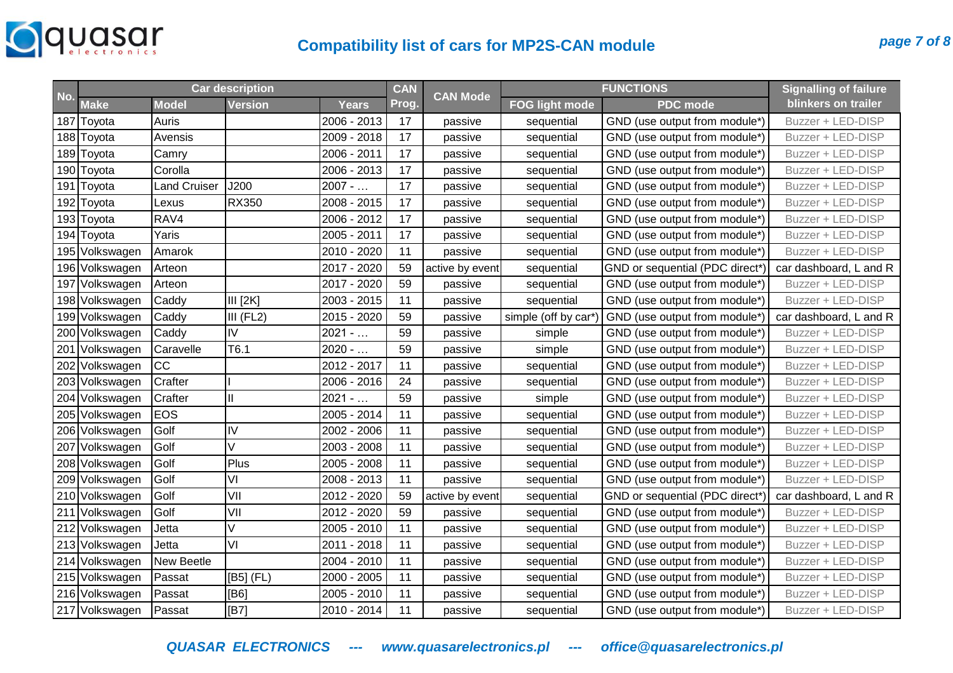

| No. | <b>Car description</b> |                     |                 |              |       | <b>CAN</b><br><b>CAN Mode</b> | <b>FUNCTIONS</b>      | <b>Signalling of failure</b>    |                        |
|-----|------------------------|---------------------|-----------------|--------------|-------|-------------------------------|-----------------------|---------------------------------|------------------------|
|     | <b>Make</b>            | <b>Model</b>        | <b>Version</b>  | <b>Years</b> | Prog. |                               | <b>FOG light mode</b> | <b>PDC</b> mode                 | blinkers on trailer    |
|     | 187 Toyota             | Auris               |                 | 2006 - 2013  | 17    | passive                       | sequential            | GND (use output from module*)   | Buzzer + LED-DISP      |
|     | 188 Toyota             | Avensis             |                 | 2009 - 2018  | 17    | passive                       | sequential            | GND (use output from module*)   | Buzzer + LED-DISP      |
|     | 189 Toyota             | Camry               |                 | 2006 - 2011  | 17    | passive                       | sequential            | GND (use output from module*)   | Buzzer + LED-DISP      |
|     | 190 Toyota             | Corolla             |                 | 2006 - 2013  | 17    | passive                       | sequential            | GND (use output from module*)   | Buzzer + LED-DISP      |
|     | 191 Toyota             | <b>Land Cruiser</b> | J200            | $2007 - $    | 17    | passive                       | sequential            | GND (use output from module*)   | Buzzer + LED-DISP      |
|     | 192 Toyota             | Lexus               | <b>RX350</b>    | 2008 - 2015  | 17    | passive                       | sequential            | GND (use output from module*)   | Buzzer + LED-DISP      |
|     | 193 Toyota             | RAV4                |                 | 2006 - 2012  | 17    | passive                       | sequential            | GND (use output from module*)   | Buzzer + LED-DISP      |
|     | 194 Toyota             | Yaris               |                 | 2005 - 2011  | 17    | passive                       | sequential            | GND (use output from module*)   | Buzzer + LED-DISP      |
|     | 195 Volkswagen         | Amarok              |                 | 2010 - 2020  | 11    | passive                       | sequential            | GND (use output from module*)   | Buzzer + LED-DISP      |
|     | 196 Volkswagen         | Arteon              |                 | 2017 - 2020  | 59    | active by event               | sequential            | GND or sequential (PDC direct*) | car dashboard, L and R |
|     | 197 Volkswagen         | Arteon              |                 | 2017 - 2020  | 59    | passive                       | sequential            | GND (use output from module*)   | Buzzer + LED-DISP      |
|     | 198 Volkswagen         | Caddy               | <b>III</b> [2K] | 2003 - 2015  | 11    | passive                       | sequential            | GND (use output from module*)   | Buzzer + LED-DISP      |
|     | 199 Volkswagen         | Caddy               | $III$ (FL2)     | 2015 - 2020  | 59    | passive                       | simple (off by car*)  | GND (use output from module*)   | car dashboard, L and R |
|     | 200 Volkswagen         | Caddy               | IV              | $2021 - $    | 59    | passive                       | simple                | GND (use output from module*)   | Buzzer + LED-DISP      |
|     | 201 Volkswagen         | Caravelle           | T6.1            | $2020 - $    | 59    | passive                       | simple                | GND (use output from module*)   | Buzzer + LED-DISP      |
|     | 202 Volkswagen         | CC                  |                 | 2012 - 2017  | 11    | passive                       | sequential            | GND (use output from module*)   | Buzzer + LED-DISP      |
|     | 203 Volkswagen         | Crafter             |                 | 2006 - 2016  | 24    | passive                       | sequential            | GND (use output from module*)   | Buzzer + LED-DISP      |
|     | 204 Volkswagen         | Crafter             | $\mathbf{II}$   | $2021 - $    | 59    | passive                       | simple                | GND (use output from module*)   | Buzzer + LED-DISP      |
|     | 205 Volkswagen         | <b>EOS</b>          |                 | 2005 - 2014  | 11    | passive                       | sequential            | GND (use output from module*)   | Buzzer + LED-DISP      |
|     | 206 Volkswagen         | Golf                | IV              | 2002 - 2006  | 11    | passive                       | sequential            | GND (use output from module*)   | Buzzer + LED-DISP      |
|     | 207 Volkswagen         | Golf                | $\sqrt{}$       | 2003 - 2008  | 11    | passive                       | sequential            | GND (use output from module*)   | Buzzer + LED-DISP      |
|     | 208 Volkswagen         | Golf                | Plus            | 2005 - 2008  | 11    | passive                       | sequential            | GND (use output from module*)   | Buzzer + LED-DISP      |
|     | 209 Volkswagen         | Golf                | VI              | 2008 - 2013  | 11    | passive                       | sequential            | GND (use output from module*)   | Buzzer + LED-DISP      |
|     | 210 Volkswagen         | Golf                | VII             | 2012 - 2020  | 59    | active by event               | sequential            | GND or sequential (PDC direct*) | car dashboard, L and R |
|     | 211 Volkswagen         | Golf                | VII             | 2012 - 2020  | 59    | passive                       | sequential            | GND (use output from module*)   | Buzzer + LED-DISP      |
|     | 212 Volkswagen         | Jetta               | $\vee$          | 2005 - 2010  | 11    | passive                       | sequential            | GND (use output from module*)   | Buzzer + LED-DISP      |
|     | 213 Volkswagen         | Jetta               | VI              | 2011 - 2018  | 11    | passive                       | sequential            | GND (use output from module*)   | Buzzer + LED-DISP      |
|     | 214 Volkswagen         | <b>New Beetle</b>   |                 | 2004 - 2010  | 11    | passive                       | sequential            | GND (use output from module*)   | Buzzer + LED-DISP      |
|     | 215 Volkswagen         | Passat              | [B5] (FL)       | 2000 - 2005  | 11    | passive                       | sequential            | GND (use output from module*)   | Buzzer + LED-DISP      |
|     | 216 Volkswagen         | Passat              | [B6]            | 2005 - 2010  | 11    | passive                       | sequential            | GND (use output from module*)   | Buzzer + LED-DISP      |
|     | 217 Volkswagen         | Passat              | [ <b>B7</b> ]   | 2010 - 2014  | 11    | passive                       | sequential            | GND (use output from module*)   | Buzzer + LED-DISP      |